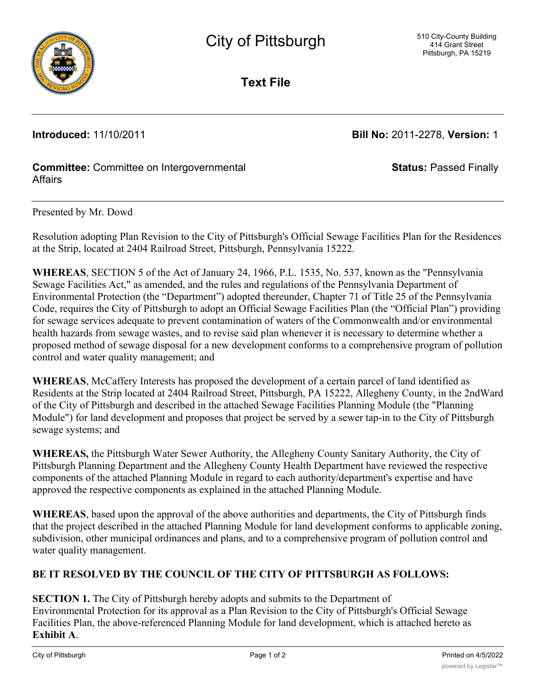

**Text File**

**Introduced:** 11/10/2011 **Bill No:** 2011-2278, **Version:** 1

**Status:** Passed Finally

### **Committee:** Committee on Intergovernmental Affairs

#### Presented by Mr. Dowd

Resolution adopting Plan Revision to the City of Pittsburgh's Official Sewage Facilities Plan for the Residences at the Strip, located at 2404 Railroad Street, Pittsburgh, Pennsylvania 15222.

**WHEREAS**, SECTION 5 of the Act of January 24, 1966, P.L. 1535, No. 537, known as the "Pennsylvania Sewage Facilities Act," as amended, and the rules and regulations of the Pennsylvania Department of Environmental Protection (the "Department") adopted thereunder, Chapter 71 of Title 25 of the Pennsylvania Code, requires the City of Pittsburgh to adopt an Official Sewage Facilities Plan (the "Official Plan") providing for sewage services adequate to prevent contamination of waters of the Commonwealth and/or environmental health hazards from sewage wastes, and to revise said plan whenever it is necessary to determine whether a proposed method of sewage disposal for a new development conforms to a comprehensive program of pollution control and water quality management; and

**WHEREAS**, McCaffery Interests has proposed the development of a certain parcel of land identified as Residents at the Strip located at 2404 Railroad Street, Pittsburgh, PA 15222, Allegheny County, in the 2ndWard of the City of Pittsburgh and described in the attached Sewage Facilities Planning Module (the "Planning Module") for land development and proposes that project be served by a sewer tap-in to the City of Pittsburgh sewage systems; and

**WHEREAS,** the Pittsburgh Water Sewer Authority, the Allegheny County Sanitary Authority, the City of Pittsburgh Planning Department and the Allegheny County Health Department have reviewed the respective components of the attached Planning Module in regard to each authority/department's expertise and have approved the respective components as explained in the attached Planning Module.

**WHEREAS**, based upon the approval of the above authorities and departments, the City of Pittsburgh finds that the project described in the attached Planning Module for land development conforms to applicable zoning, subdivision, other municipal ordinances and plans, and to a comprehensive program of pollution control and water quality management.

## **BE IT RESOLVED BY THE COUNCIL OF THE CITY OF PITTSBURGH AS FOLLOWS:**

# **SECTION 1.** The City of Pittsburgh hereby adopts and submits to the Department of

Environmental Protection for its approval as a Plan Revision to the City of Pittsburgh's Official Sewage Facilities Plan, the above-referenced Planning Module for land development, which is attached hereto as **Exhibit A**.